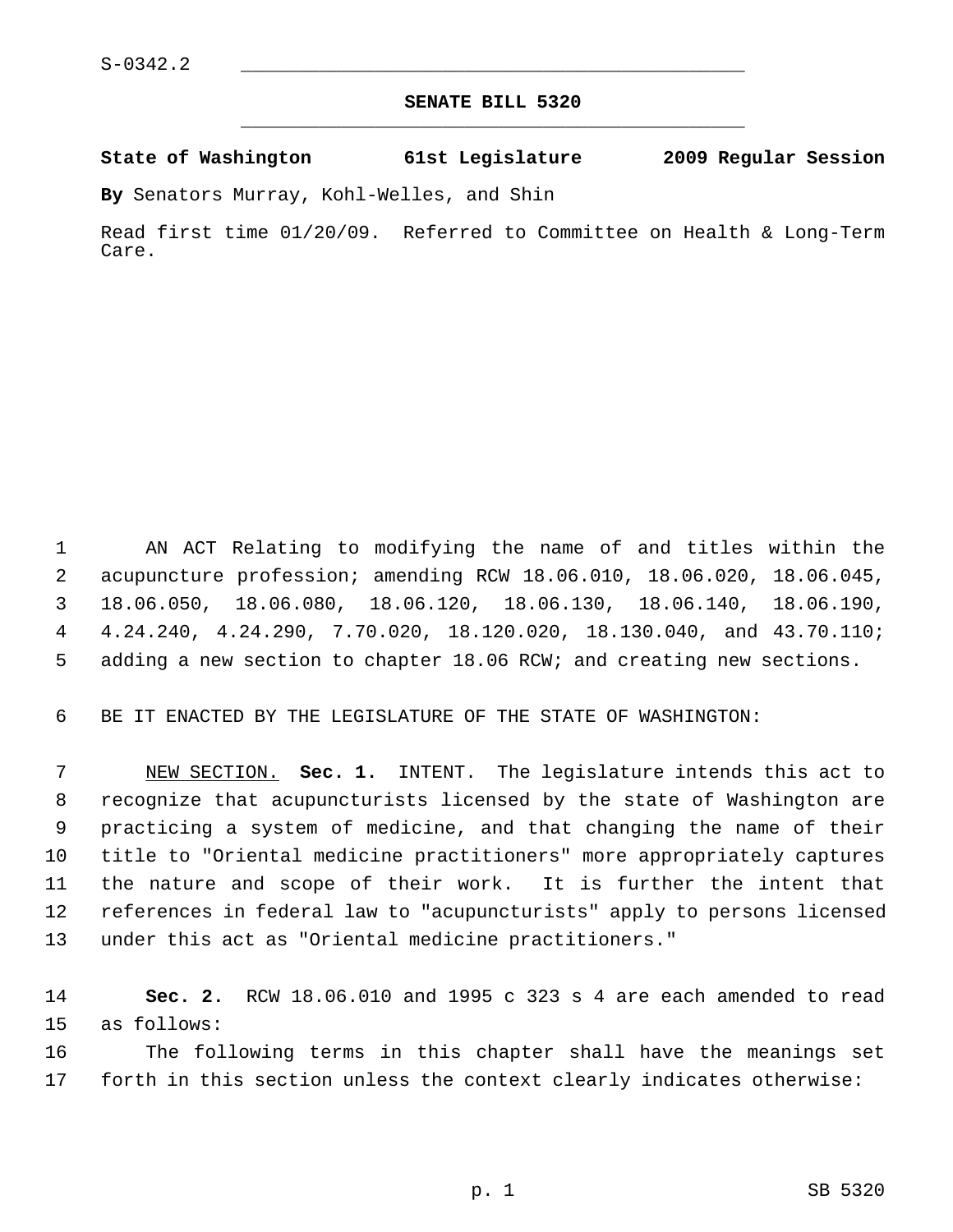## **SENATE BILL 5320** \_\_\_\_\_\_\_\_\_\_\_\_\_\_\_\_\_\_\_\_\_\_\_\_\_\_\_\_\_\_\_\_\_\_\_\_\_\_\_\_\_\_\_\_\_

## **State of Washington 61st Legislature 2009 Regular Session**

**By** Senators Murray, Kohl-Welles, and Shin

Read first time 01/20/09. Referred to Committee on Health & Long-Term Care.

 1 AN ACT Relating to modifying the name of and titles within the 2 acupuncture profession; amending RCW 18.06.010, 18.06.020, 18.06.045, 3 18.06.050, 18.06.080, 18.06.120, 18.06.130, 18.06.140, 18.06.190, 4 4.24.240, 4.24.290, 7.70.020, 18.120.020, 18.130.040, and 43.70.110; 5 adding a new section to chapter 18.06 RCW; and creating new sections.

6 BE IT ENACTED BY THE LEGISLATURE OF THE STATE OF WASHINGTON:

 7 NEW SECTION. **Sec. 1.** INTENT. The legislature intends this act to 8 recognize that acupuncturists licensed by the state of Washington are 9 practicing a system of medicine, and that changing the name of their 10 title to "Oriental medicine practitioners" more appropriately captures 11 the nature and scope of their work. It is further the intent that 12 references in federal law to "acupuncturists" apply to persons licensed 13 under this act as "Oriental medicine practitioners."

14 **Sec. 2.** RCW 18.06.010 and 1995 c 323 s 4 are each amended to read 15 as follows:

16 The following terms in this chapter shall have the meanings set 17 forth in this section unless the context clearly indicates otherwise: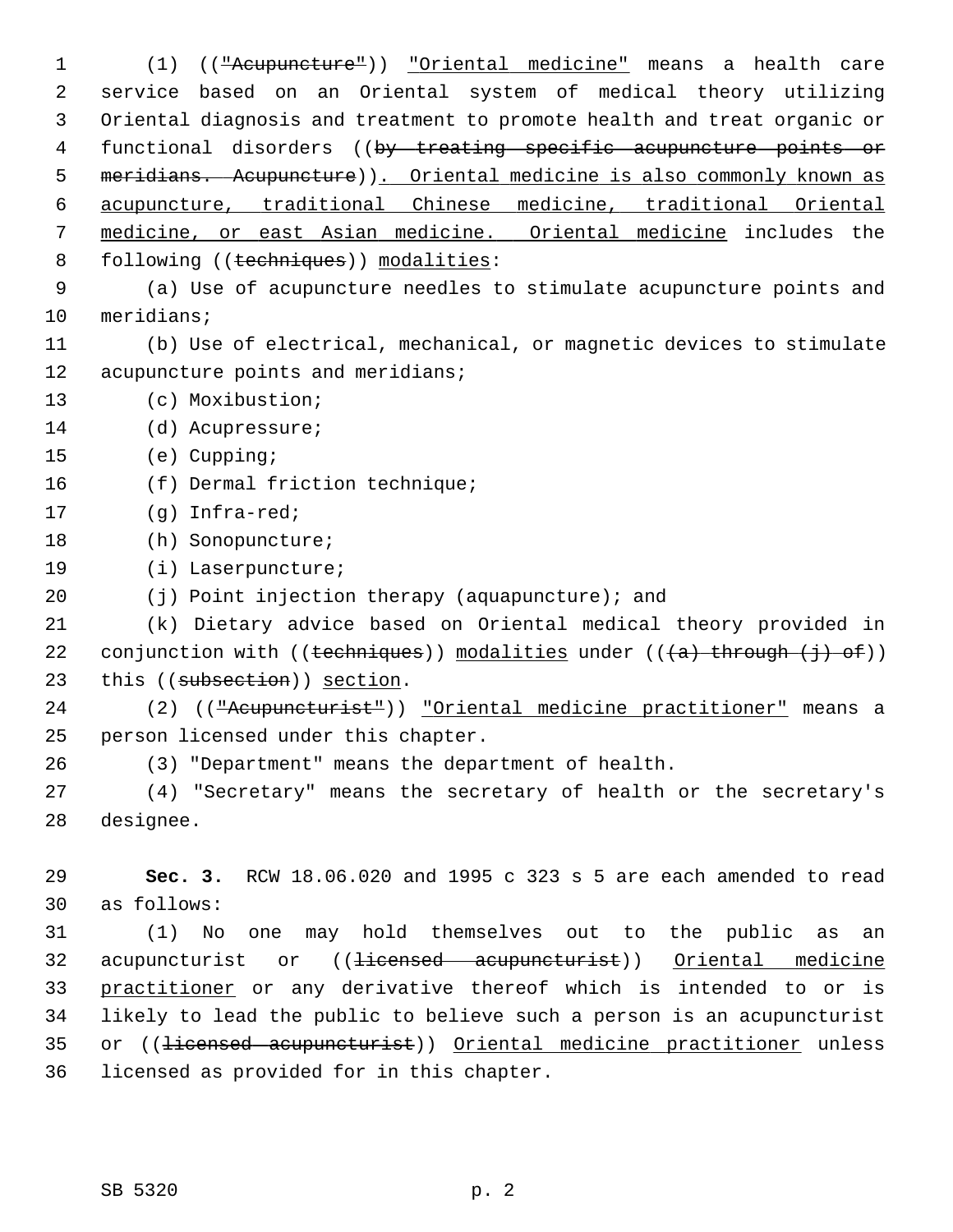1 (1) (("Acupuncture")) "Oriental medicine" means a health care 2 service based on an Oriental system of medical theory utilizing 3 Oriental diagnosis and treatment to promote health and treat organic or 4 functional disorders ((by treating specific acupuncture points or 5 meridians. Acupuncture)). Oriental medicine is also commonly known as 6 acupuncture, traditional Chinese medicine, traditional Oriental 7 medicine, or east Asian medicine. Oriental medicine includes the 8 following ((techniques)) modalities: 9 (a) Use of acupuncture needles to stimulate acupuncture points and 10 meridians; 11 (b) Use of electrical, mechanical, or magnetic devices to stimulate 12 acupuncture points and meridians; 13 (c) Moxibustion; 14 (d) Acupressure; 15 (e) Cupping; 16 (f) Dermal friction technique; 17 (g) Infra-red; 18 (h) Sonopuncture; 19 (i) Laserpuncture; 20 (j) Point injection therapy (aquapuncture); and 21 (k) Dietary advice based on Oriental medical theory provided in 22 conjunction with (( $\text{techniques}$ )) modalities under (( $\text{+a}$ ) through  $\text{+i}$ )) 23 this ((subsection)) section. 24 (2) (("Acupuncturist")) "Oriental medicine practitioner" means a 25 person licensed under this chapter. 26 (3) "Department" means the department of health. 27 (4) "Secretary" means the secretary of health or the secretary's 28 designee. 29 **Sec. 3.** RCW 18.06.020 and 1995 c 323 s 5 are each amended to read 30 as follows: 31 (1) No one may hold themselves out to the public as an 32 acupuncturist or ((<del>licensed acupuncturist</del>)) Oriental medicine 33 practitioner or any derivative thereof which is intended to or is 34 likely to lead the public to believe such a person is an acupuncturist 35 or ((<del>licensed acupuncturist</del>)) Oriental medicine practitioner unless 36 licensed as provided for in this chapter.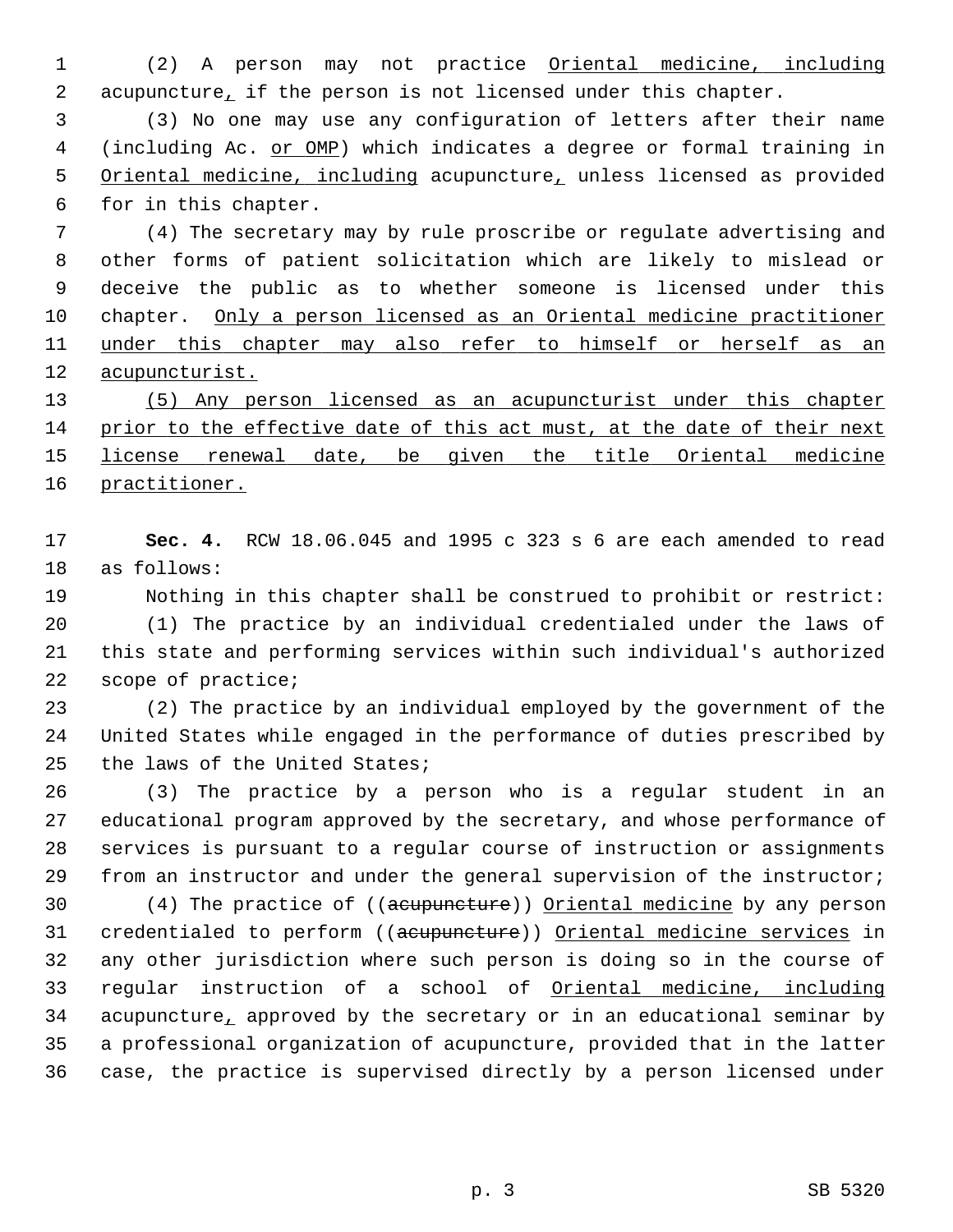1 (2) A person may not practice Oriental medicine, including 2 acupuncture, if the person is not licensed under this chapter.

 3 (3) No one may use any configuration of letters after their name 4 (including Ac. or OMP) which indicates a degree or formal training in 5 Oriental medicine, including acupuncture, unless licensed as provided 6 for in this chapter.

 7 (4) The secretary may by rule proscribe or regulate advertising and 8 other forms of patient solicitation which are likely to mislead or 9 deceive the public as to whether someone is licensed under this 10 chapter. Only a person licensed as an Oriental medicine practitioner 11 under this chapter may also refer to himself or herself as an 12 acupuncturist.

 (5) Any person licensed as an acupuncturist under this chapter prior to the effective date of this act must, at the date of their next license renewal date, be given the title Oriental medicine practitioner.

17 **Sec. 4.** RCW 18.06.045 and 1995 c 323 s 6 are each amended to read 18 as follows:

19 Nothing in this chapter shall be construed to prohibit or restrict: 20 (1) The practice by an individual credentialed under the laws of 21 this state and performing services within such individual's authorized 22 scope of practice;

23 (2) The practice by an individual employed by the government of the 24 United States while engaged in the performance of duties prescribed by 25 the laws of the United States;

26 (3) The practice by a person who is a regular student in an 27 educational program approved by the secretary, and whose performance of 28 services is pursuant to a regular course of instruction or assignments 29 from an instructor and under the general supervision of the instructor;

30 (4) The practice of ((acupuncture)) Oriental medicine by any person 31 credentialed to perform ((acupuncture)) Oriental medicine services in 32 any other jurisdiction where such person is doing so in the course of 33 regular instruction of a school of Oriental medicine, including 34 acupuncture, approved by the secretary or in an educational seminar by 35 a professional organization of acupuncture, provided that in the latter 36 case, the practice is supervised directly by a person licensed under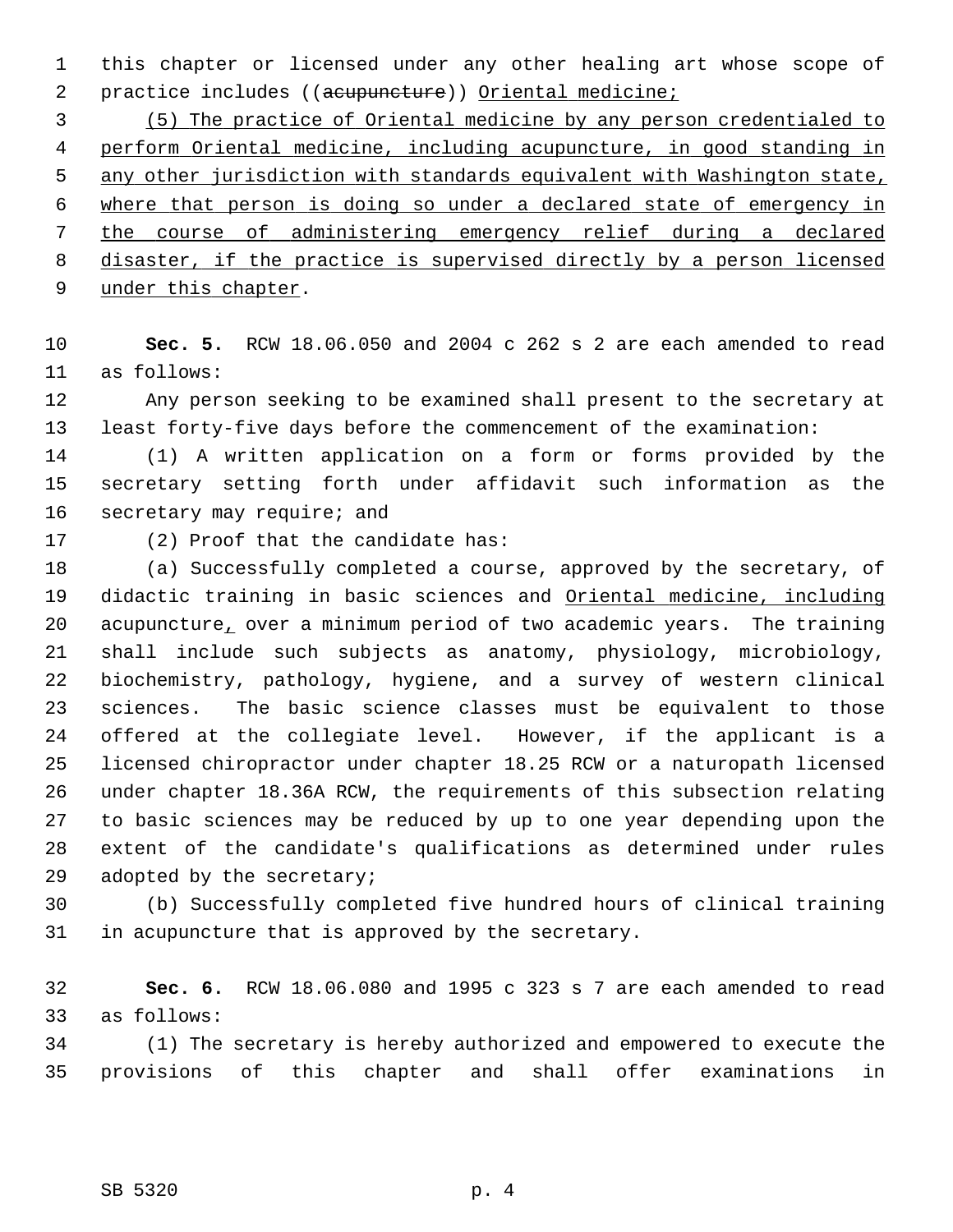1 this chapter or licensed under any other healing art whose scope of 2 practice includes ((acupuncture)) Oriental medicine;

 (5) The practice of Oriental medicine by any person credentialed to perform Oriental medicine, including acupuncture, in good standing in any other jurisdiction with standards equivalent with Washington state, where that person is doing so under a declared state of emergency in the course of administering emergency relief during a declared disaster, if the practice is supervised directly by a person licensed under this chapter.

10 **Sec. 5.** RCW 18.06.050 and 2004 c 262 s 2 are each amended to read 11 as follows:

12 Any person seeking to be examined shall present to the secretary at 13 least forty-five days before the commencement of the examination:

14 (1) A written application on a form or forms provided by the 15 secretary setting forth under affidavit such information as the 16 secretary may require; and

17 (2) Proof that the candidate has:

18 (a) Successfully completed a course, approved by the secretary, of 19 didactic training in basic sciences and Oriental medicine, including 20 acupuncture, over a minimum period of two academic years. The training 21 shall include such subjects as anatomy, physiology, microbiology, 22 biochemistry, pathology, hygiene, and a survey of western clinical 23 sciences. The basic science classes must be equivalent to those 24 offered at the collegiate level. However, if the applicant is a 25 licensed chiropractor under chapter 18.25 RCW or a naturopath licensed 26 under chapter 18.36A RCW, the requirements of this subsection relating 27 to basic sciences may be reduced by up to one year depending upon the 28 extent of the candidate's qualifications as determined under rules 29 adopted by the secretary;

30 (b) Successfully completed five hundred hours of clinical training 31 in acupuncture that is approved by the secretary.

32 **Sec. 6.** RCW 18.06.080 and 1995 c 323 s 7 are each amended to read 33 as follows:

34 (1) The secretary is hereby authorized and empowered to execute the 35 provisions of this chapter and shall offer examinations in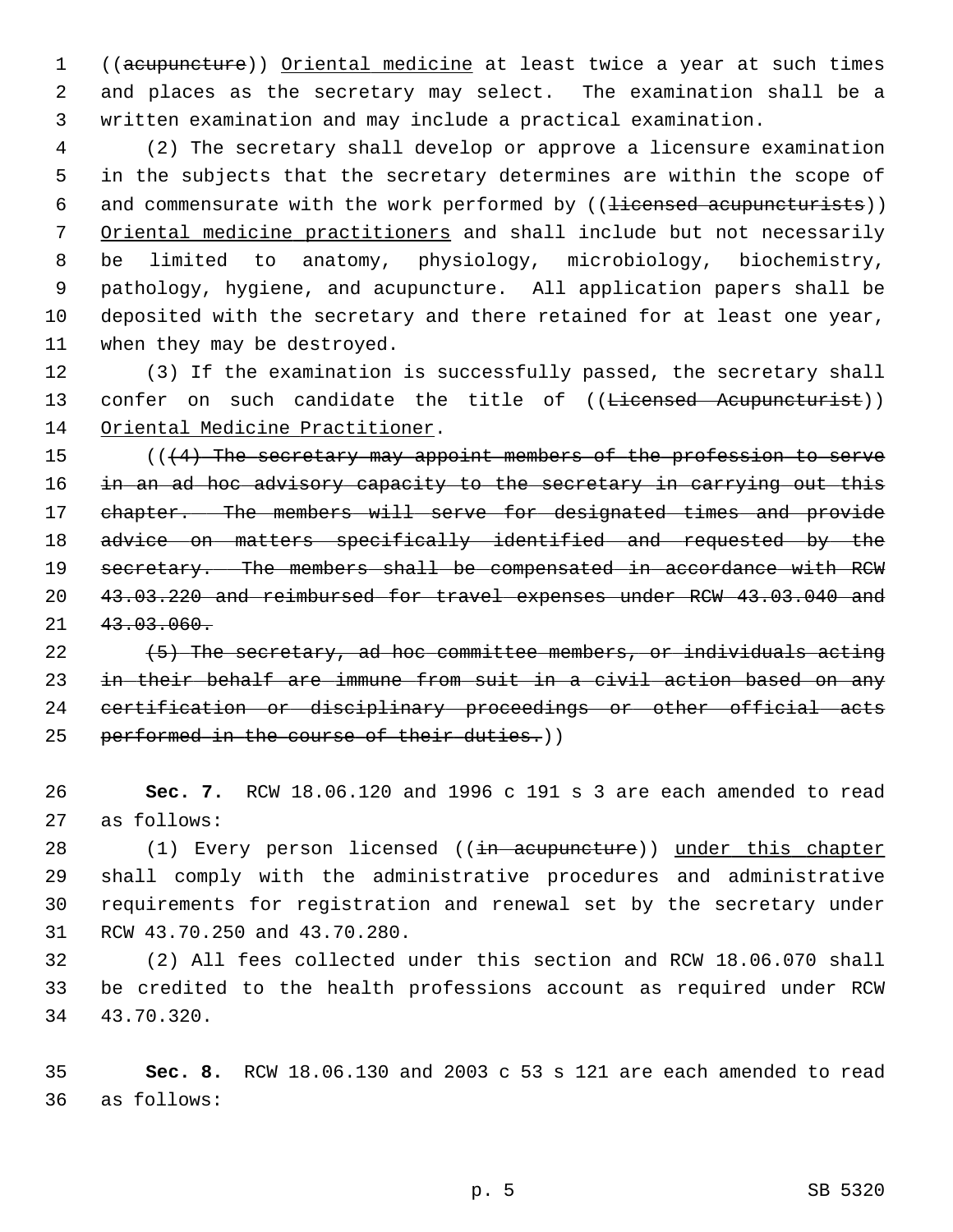1 ((acupuncture)) Oriental medicine at least twice a year at such times 2 and places as the secretary may select. The examination shall be a 3 written examination and may include a practical examination.

 4 (2) The secretary shall develop or approve a licensure examination 5 in the subjects that the secretary determines are within the scope of 6 and commensurate with the work performed by ((<del>licensed acupuncturists</del>)) 7 Oriental medicine practitioners and shall include but not necessarily 8 be limited to anatomy, physiology, microbiology, biochemistry, 9 pathology, hygiene, and acupuncture. All application papers shall be 10 deposited with the secretary and there retained for at least one year, 11 when they may be destroyed.

12 (3) If the examination is successfully passed, the secretary shall 13 confer on such candidate the title of ((<del>Licensed Acupuncturist</del>)) 14 Oriental Medicine Practitioner.

15  $((4)$  The secretary may appoint members of the profession to serve 16 in an ad hoc advisory capacity to the secretary in carrying out this 17 chapter. The members will serve for designated times and provide 18 advice on matters specifically identified and requested by the 19 secretary. The members shall be compensated in accordance with RCW 20 43.03.220 and reimbursed for travel expenses under RCW 43.03.040 and 21 43.03.060.

 $(5)$  The secretary, ad hoc committee members, or individuals acting in their behalf are immune from suit in a civil action based on any certification or disciplinary proceedings or other official acts 25 performed in the course of their duties.))

26 **Sec. 7.** RCW 18.06.120 and 1996 c 191 s 3 are each amended to read 27 as follows:

28 (1) Every person licensed ((in acupuncture)) under this chapter 29 shall comply with the administrative procedures and administrative 30 requirements for registration and renewal set by the secretary under 31 RCW 43.70.250 and 43.70.280.

32 (2) All fees collected under this section and RCW 18.06.070 shall 33 be credited to the health professions account as required under RCW 34 43.70.320.

35 **Sec. 8.** RCW 18.06.130 and 2003 c 53 s 121 are each amended to read 36 as follows: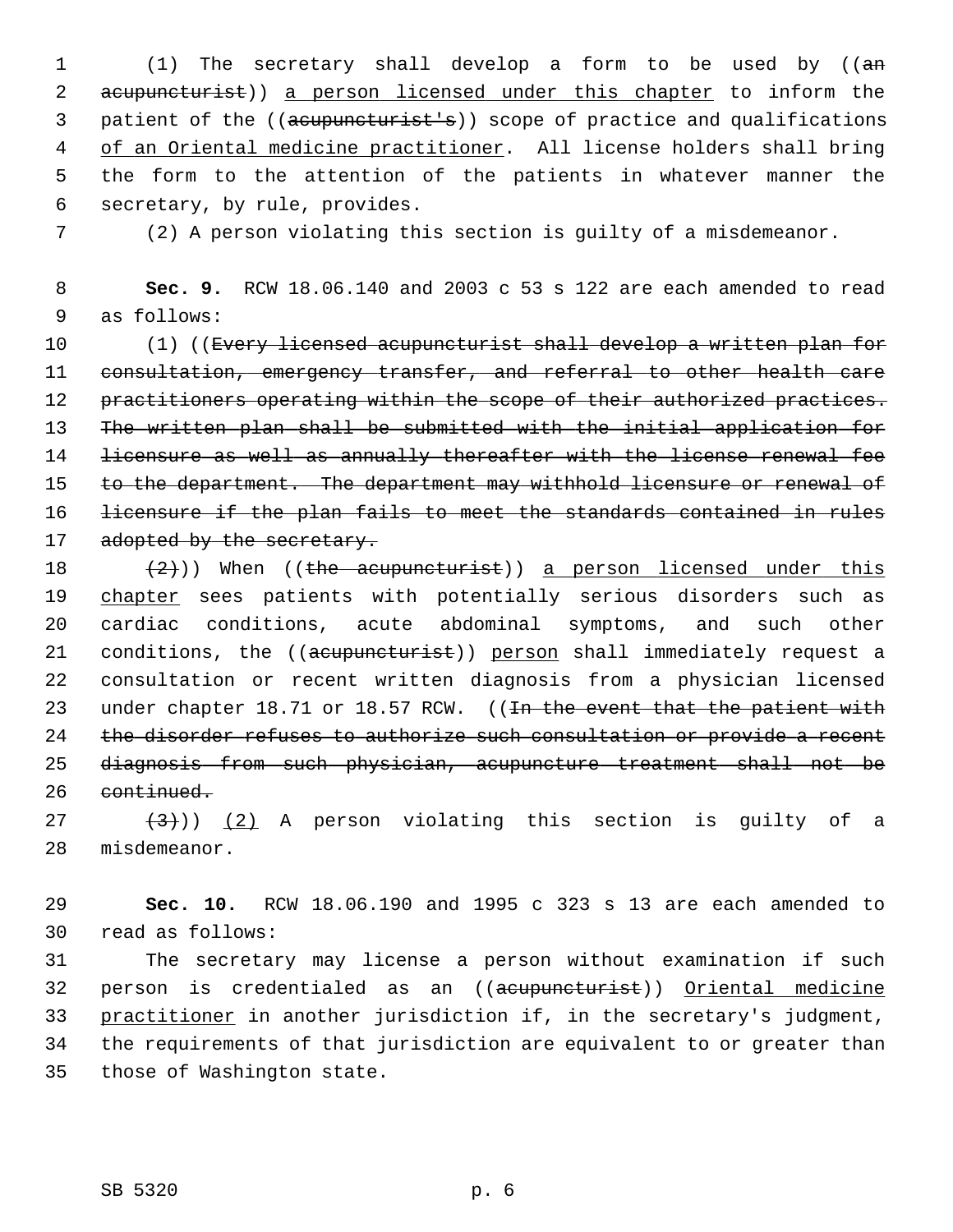1 (1) The secretary shall develop a form to be used by ((an 2 acupuncturist)) a person licensed under this chapter to inform the 3 patient of the ((acupuncturist's)) scope of practice and qualifications 4 of an Oriental medicine practitioner. All license holders shall bring 5 the form to the attention of the patients in whatever manner the 6 secretary, by rule, provides.

7 (2) A person violating this section is guilty of a misdemeanor.

 8 **Sec. 9.** RCW 18.06.140 and 2003 c 53 s 122 are each amended to read 9 as follows:

10 (1) ((Every licensed acupuncturist shall develop a written plan for 11 consultation, emergency transfer, and referral to other health care 12 practitioners operating within the scope of their authorized practices. 13 The written plan shall be submitted with the initial application for 14 licensure as well as annually thereafter with the license renewal fee 15 to the department. The department may withhold licensure or renewal of 16 licensure if the plan fails to meet the standards contained in rules 17 adopted by the secretary.

18  $(2)$ )) When ((the acupuncturist)) a person licensed under this 19 chapter sees patients with potentially serious disorders such as 20 cardiac conditions, acute abdominal symptoms, and such other 21 conditions, the ((acupuncturist)) person shall immediately request a 22 consultation or recent written diagnosis from a physician licensed 23 under chapter 18.71 or 18.57 RCW. ((<del>In the event that the patient with</del> 24 the disorder refuses to authorize such consultation or provide a recent 25 diagnosis from such physician, acupuncture treatment shall not be 26 continued.

 $(3)$   $(3)$   $(2)$  A person violating this section is guilty of a 28 misdemeanor.

29 **Sec. 10.** RCW 18.06.190 and 1995 c 323 s 13 are each amended to 30 read as follows:

31 The secretary may license a person without examination if such 32 person is credentialed as an ((acupuncturist)) Oriental medicine 33 practitioner in another jurisdiction if, in the secretary's judgment, 34 the requirements of that jurisdiction are equivalent to or greater than 35 those of Washington state.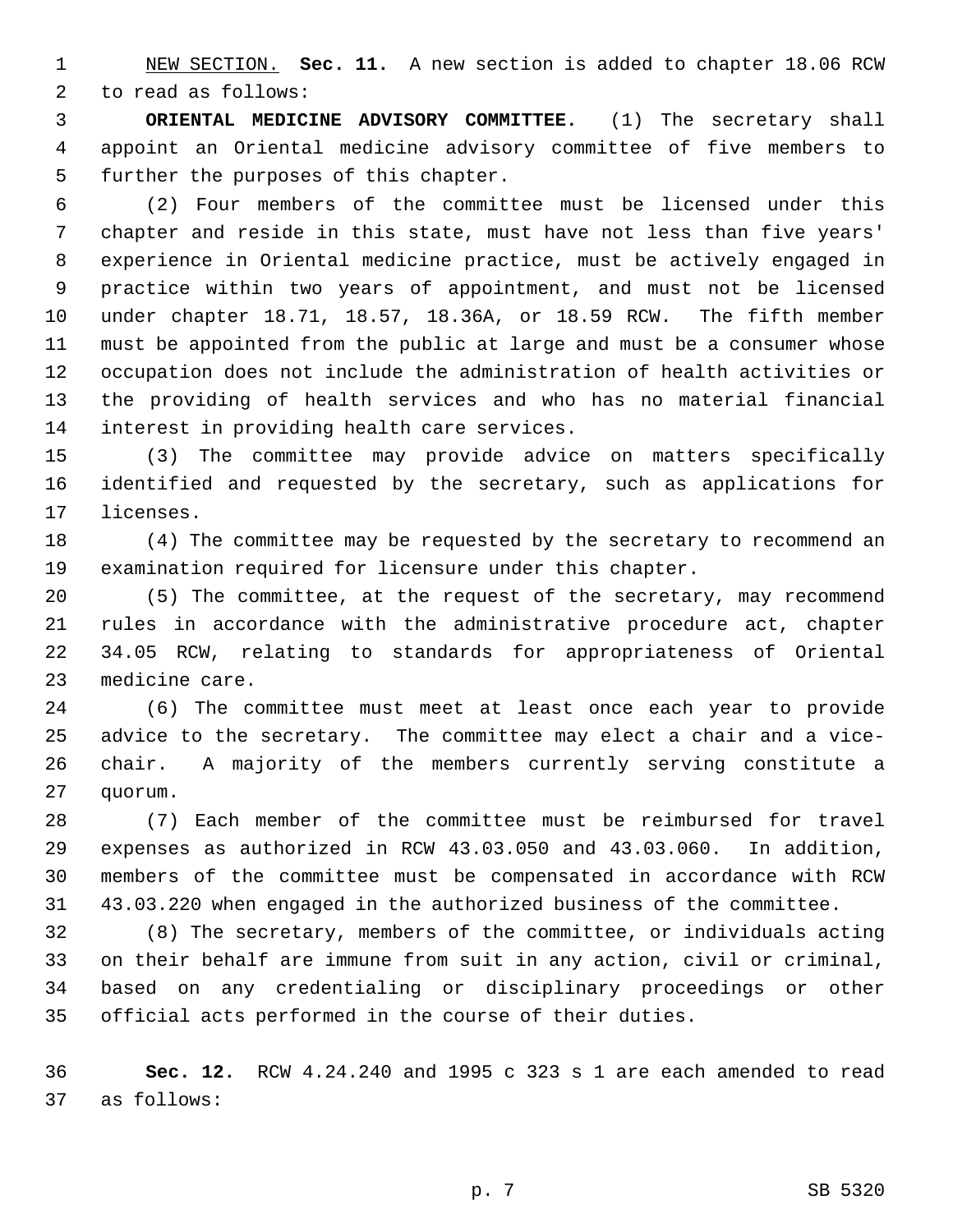1 NEW SECTION. **Sec. 11.** A new section is added to chapter 18.06 RCW 2 to read as follows:

 3 **ORIENTAL MEDICINE ADVISORY COMMITTEE.** (1) The secretary shall 4 appoint an Oriental medicine advisory committee of five members to 5 further the purposes of this chapter.

 6 (2) Four members of the committee must be licensed under this 7 chapter and reside in this state, must have not less than five years' 8 experience in Oriental medicine practice, must be actively engaged in 9 practice within two years of appointment, and must not be licensed 10 under chapter 18.71, 18.57, 18.36A, or 18.59 RCW. The fifth member 11 must be appointed from the public at large and must be a consumer whose 12 occupation does not include the administration of health activities or 13 the providing of health services and who has no material financial 14 interest in providing health care services.

15 (3) The committee may provide advice on matters specifically 16 identified and requested by the secretary, such as applications for 17 licenses.

18 (4) The committee may be requested by the secretary to recommend an 19 examination required for licensure under this chapter.

20 (5) The committee, at the request of the secretary, may recommend 21 rules in accordance with the administrative procedure act, chapter 22 34.05 RCW, relating to standards for appropriateness of Oriental 23 medicine care.

24 (6) The committee must meet at least once each year to provide 25 advice to the secretary. The committee may elect a chair and a vice-26 chair. A majority of the members currently serving constitute a 27 quorum.

28 (7) Each member of the committee must be reimbursed for travel 29 expenses as authorized in RCW 43.03.050 and 43.03.060. In addition, 30 members of the committee must be compensated in accordance with RCW 31 43.03.220 when engaged in the authorized business of the committee.

32 (8) The secretary, members of the committee, or individuals acting 33 on their behalf are immune from suit in any action, civil or criminal, 34 based on any credentialing or disciplinary proceedings or other 35 official acts performed in the course of their duties.

36 **Sec. 12.** RCW 4.24.240 and 1995 c 323 s 1 are each amended to read 37 as follows: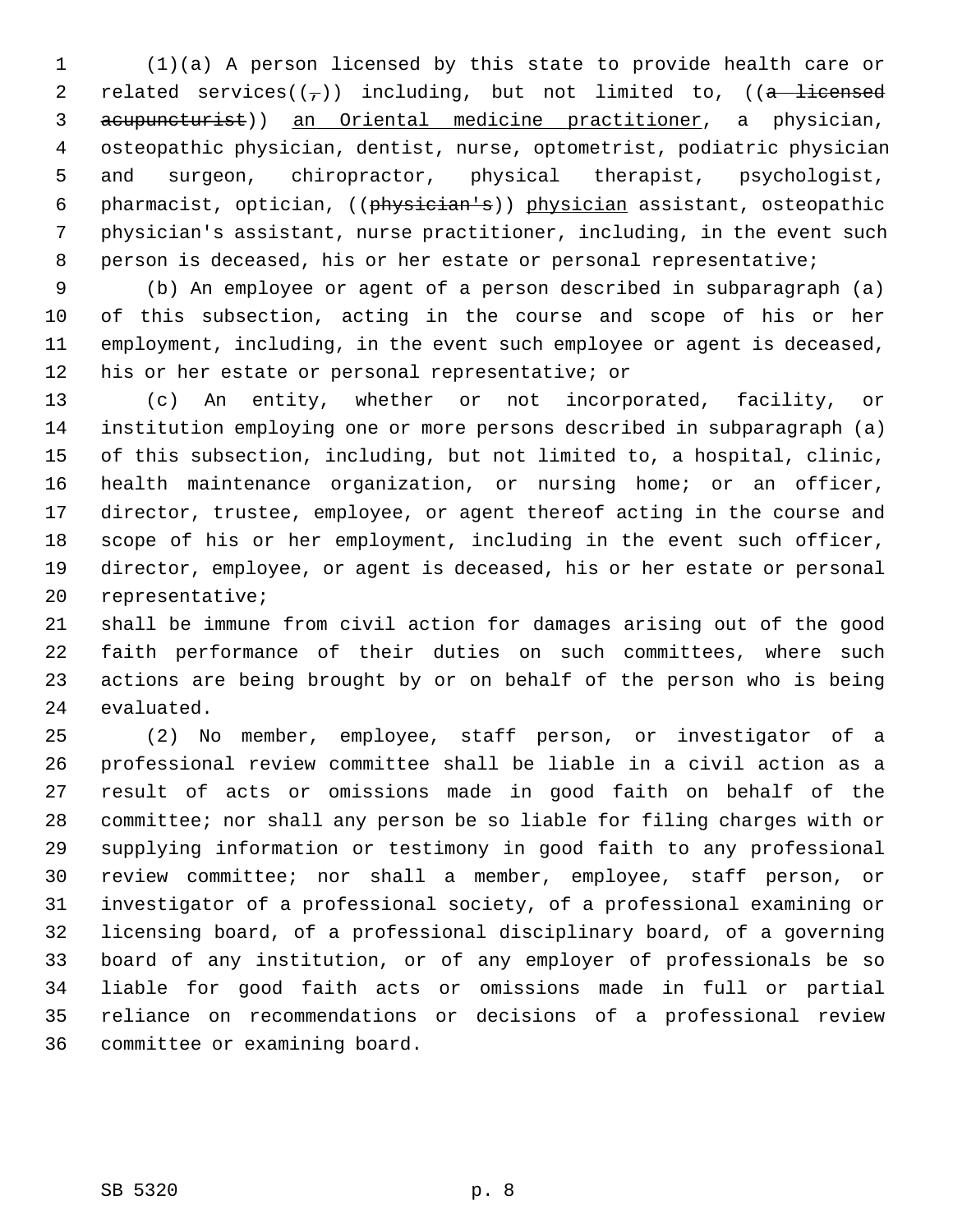1 (1)(a) A person licensed by this state to provide health care or 2 related services( $(\frac{1}{2})$ ) including, but not limited to, ((a licensed 3 acupuncturist)) an Oriental medicine practitioner, a physician, 4 osteopathic physician, dentist, nurse, optometrist, podiatric physician 5 and surgeon, chiropractor, physical therapist, psychologist, 6 pharmacist, optician, ((physician's)) physician assistant, osteopathic 7 physician's assistant, nurse practitioner, including, in the event such 8 person is deceased, his or her estate or personal representative;

 9 (b) An employee or agent of a person described in subparagraph (a) 10 of this subsection, acting in the course and scope of his or her 11 employment, including, in the event such employee or agent is deceased, 12 his or her estate or personal representative; or

13 (c) An entity, whether or not incorporated, facility, or 14 institution employing one or more persons described in subparagraph (a) 15 of this subsection, including, but not limited to, a hospital, clinic, 16 health maintenance organization, or nursing home; or an officer, 17 director, trustee, employee, or agent thereof acting in the course and 18 scope of his or her employment, including in the event such officer, 19 director, employee, or agent is deceased, his or her estate or personal 20 representative;

21 shall be immune from civil action for damages arising out of the good 22 faith performance of their duties on such committees, where such 23 actions are being brought by or on behalf of the person who is being 24 evaluated.

25 (2) No member, employee, staff person, or investigator of a 26 professional review committee shall be liable in a civil action as a 27 result of acts or omissions made in good faith on behalf of the 28 committee; nor shall any person be so liable for filing charges with or 29 supplying information or testimony in good faith to any professional 30 review committee; nor shall a member, employee, staff person, or 31 investigator of a professional society, of a professional examining or 32 licensing board, of a professional disciplinary board, of a governing 33 board of any institution, or of any employer of professionals be so 34 liable for good faith acts or omissions made in full or partial 35 reliance on recommendations or decisions of a professional review 36 committee or examining board.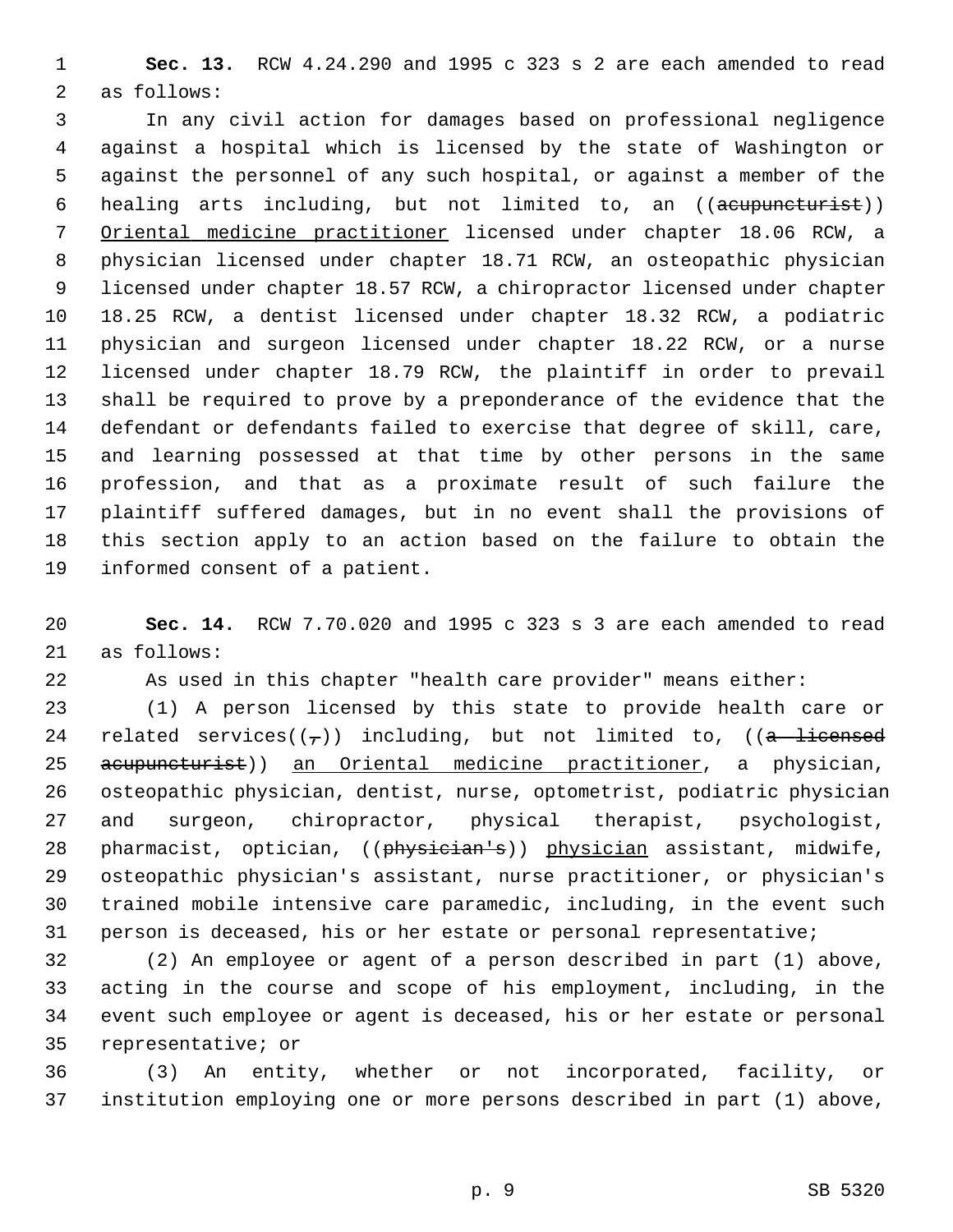1 **Sec. 13.** RCW 4.24.290 and 1995 c 323 s 2 are each amended to read 2 as follows:

 3 In any civil action for damages based on professional negligence 4 against a hospital which is licensed by the state of Washington or 5 against the personnel of any such hospital, or against a member of the 6 healing arts including, but not limited to, an ((acupuncturist)) 7 Oriental medicine practitioner licensed under chapter 18.06 RCW, a 8 physician licensed under chapter 18.71 RCW, an osteopathic physician 9 licensed under chapter 18.57 RCW, a chiropractor licensed under chapter 10 18.25 RCW, a dentist licensed under chapter 18.32 RCW, a podiatric 11 physician and surgeon licensed under chapter 18.22 RCW, or a nurse 12 licensed under chapter 18.79 RCW, the plaintiff in order to prevail 13 shall be required to prove by a preponderance of the evidence that the 14 defendant or defendants failed to exercise that degree of skill, care, 15 and learning possessed at that time by other persons in the same 16 profession, and that as a proximate result of such failure the 17 plaintiff suffered damages, but in no event shall the provisions of 18 this section apply to an action based on the failure to obtain the 19 informed consent of a patient.

20 **Sec. 14.** RCW 7.70.020 and 1995 c 323 s 3 are each amended to read 21 as follows:

22 As used in this chapter "health care provider" means either:

23 (1) A person licensed by this state to provide health care or 24 related services( $(\tau)$ ) including, but not limited to, ((a licensed 25 acupuncturist)) an Oriental medicine practitioner, a physician, 26 osteopathic physician, dentist, nurse, optometrist, podiatric physician 27 and surgeon, chiropractor, physical therapist, psychologist, 28 pharmacist, optician, ((physician's)) physician assistant, midwife, 29 osteopathic physician's assistant, nurse practitioner, or physician's 30 trained mobile intensive care paramedic, including, in the event such 31 person is deceased, his or her estate or personal representative;

32 (2) An employee or agent of a person described in part (1) above, 33 acting in the course and scope of his employment, including, in the 34 event such employee or agent is deceased, his or her estate or personal 35 representative; or

36 (3) An entity, whether or not incorporated, facility, or 37 institution employing one or more persons described in part (1) above,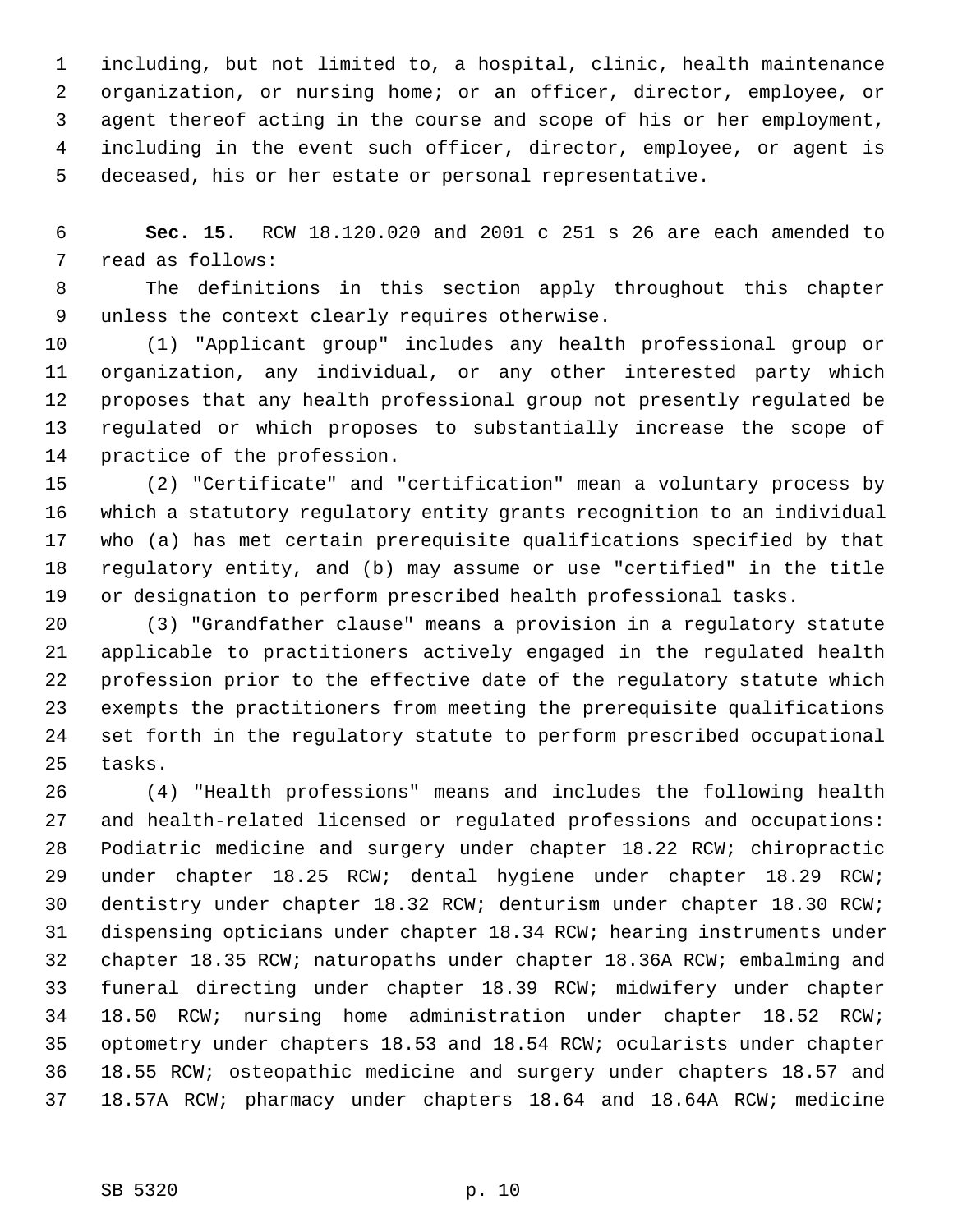1 including, but not limited to, a hospital, clinic, health maintenance 2 organization, or nursing home; or an officer, director, employee, or 3 agent thereof acting in the course and scope of his or her employment, 4 including in the event such officer, director, employee, or agent is 5 deceased, his or her estate or personal representative.

 6 **Sec. 15.** RCW 18.120.020 and 2001 c 251 s 26 are each amended to 7 read as follows:

 8 The definitions in this section apply throughout this chapter 9 unless the context clearly requires otherwise.

10 (1) "Applicant group" includes any health professional group or 11 organization, any individual, or any other interested party which 12 proposes that any health professional group not presently regulated be 13 regulated or which proposes to substantially increase the scope of 14 practice of the profession.

15 (2) "Certificate" and "certification" mean a voluntary process by 16 which a statutory regulatory entity grants recognition to an individual 17 who (a) has met certain prerequisite qualifications specified by that 18 regulatory entity, and (b) may assume or use "certified" in the title 19 or designation to perform prescribed health professional tasks.

20 (3) "Grandfather clause" means a provision in a regulatory statute 21 applicable to practitioners actively engaged in the regulated health 22 profession prior to the effective date of the regulatory statute which 23 exempts the practitioners from meeting the prerequisite qualifications 24 set forth in the regulatory statute to perform prescribed occupational 25 tasks.

26 (4) "Health professions" means and includes the following health 27 and health-related licensed or regulated professions and occupations: 28 Podiatric medicine and surgery under chapter 18.22 RCW; chiropractic 29 under chapter 18.25 RCW; dental hygiene under chapter 18.29 RCW; 30 dentistry under chapter 18.32 RCW; denturism under chapter 18.30 RCW; 31 dispensing opticians under chapter 18.34 RCW; hearing instruments under 32 chapter 18.35 RCW; naturopaths under chapter 18.36A RCW; embalming and 33 funeral directing under chapter 18.39 RCW; midwifery under chapter 34 18.50 RCW; nursing home administration under chapter 18.52 RCW; 35 optometry under chapters 18.53 and 18.54 RCW; ocularists under chapter 36 18.55 RCW; osteopathic medicine and surgery under chapters 18.57 and 37 18.57A RCW; pharmacy under chapters 18.64 and 18.64A RCW; medicine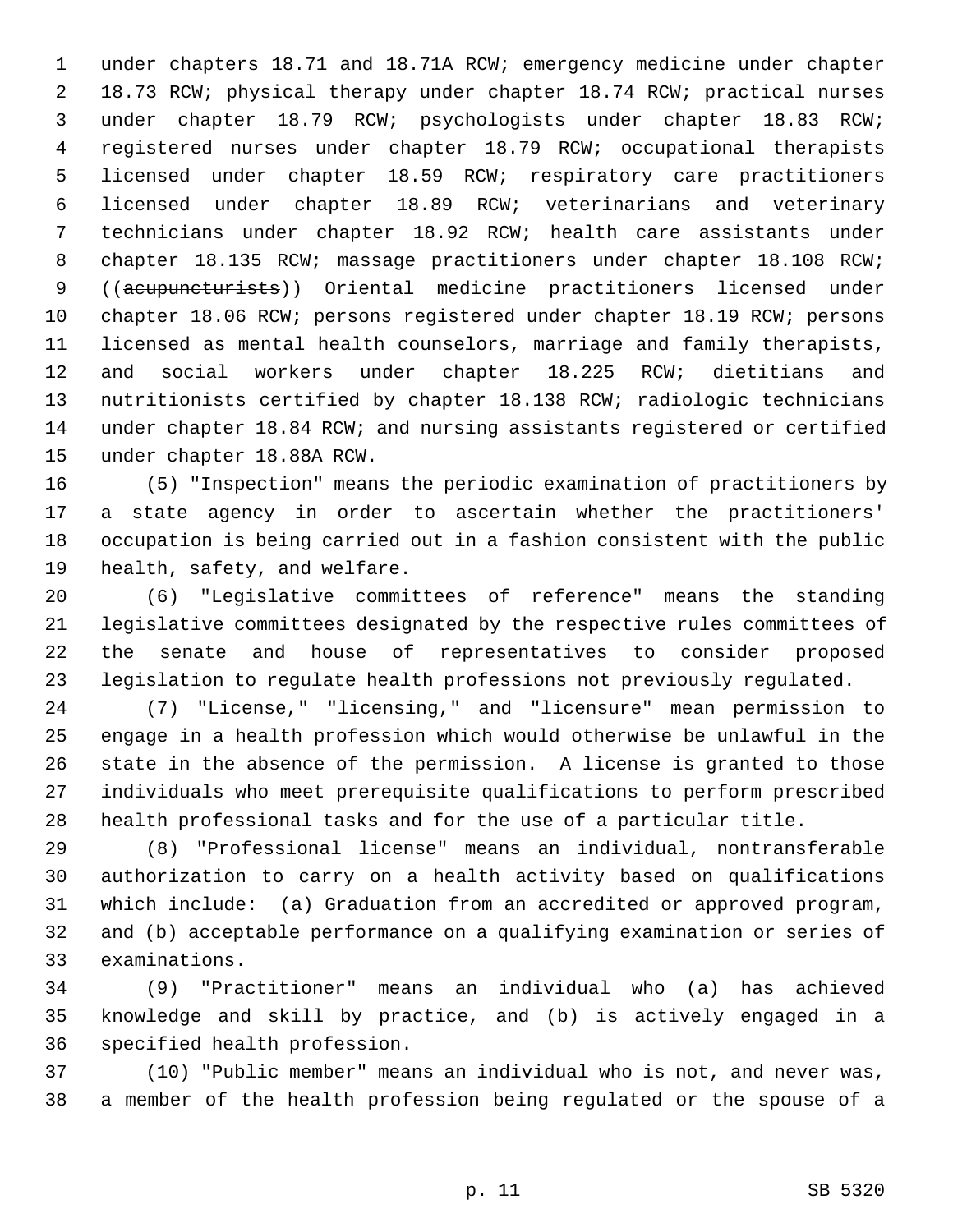1 under chapters 18.71 and 18.71A RCW; emergency medicine under chapter 2 18.73 RCW; physical therapy under chapter 18.74 RCW; practical nurses 3 under chapter 18.79 RCW; psychologists under chapter 18.83 RCW; 4 registered nurses under chapter 18.79 RCW; occupational therapists 5 licensed under chapter 18.59 RCW; respiratory care practitioners 6 licensed under chapter 18.89 RCW; veterinarians and veterinary 7 technicians under chapter 18.92 RCW; health care assistants under 8 chapter 18.135 RCW; massage practitioners under chapter 18.108 RCW; 9 ((acupuncturists)) Oriental medicine practitioners licensed under 10 chapter 18.06 RCW; persons registered under chapter 18.19 RCW; persons 11 licensed as mental health counselors, marriage and family therapists, 12 and social workers under chapter 18.225 RCW; dietitians and 13 nutritionists certified by chapter 18.138 RCW; radiologic technicians 14 under chapter 18.84 RCW; and nursing assistants registered or certified 15 under chapter 18.88A RCW.

16 (5) "Inspection" means the periodic examination of practitioners by 17 a state agency in order to ascertain whether the practitioners' 18 occupation is being carried out in a fashion consistent with the public 19 health, safety, and welfare.

20 (6) "Legislative committees of reference" means the standing 21 legislative committees designated by the respective rules committees of 22 the senate and house of representatives to consider proposed 23 legislation to regulate health professions not previously regulated.

24 (7) "License," "licensing," and "licensure" mean permission to 25 engage in a health profession which would otherwise be unlawful in the 26 state in the absence of the permission. A license is granted to those 27 individuals who meet prerequisite qualifications to perform prescribed 28 health professional tasks and for the use of a particular title.

29 (8) "Professional license" means an individual, nontransferable 30 authorization to carry on a health activity based on qualifications 31 which include: (a) Graduation from an accredited or approved program, 32 and (b) acceptable performance on a qualifying examination or series of 33 examinations.

34 (9) "Practitioner" means an individual who (a) has achieved 35 knowledge and skill by practice, and (b) is actively engaged in a 36 specified health profession.

37 (10) "Public member" means an individual who is not, and never was, 38 a member of the health profession being regulated or the spouse of a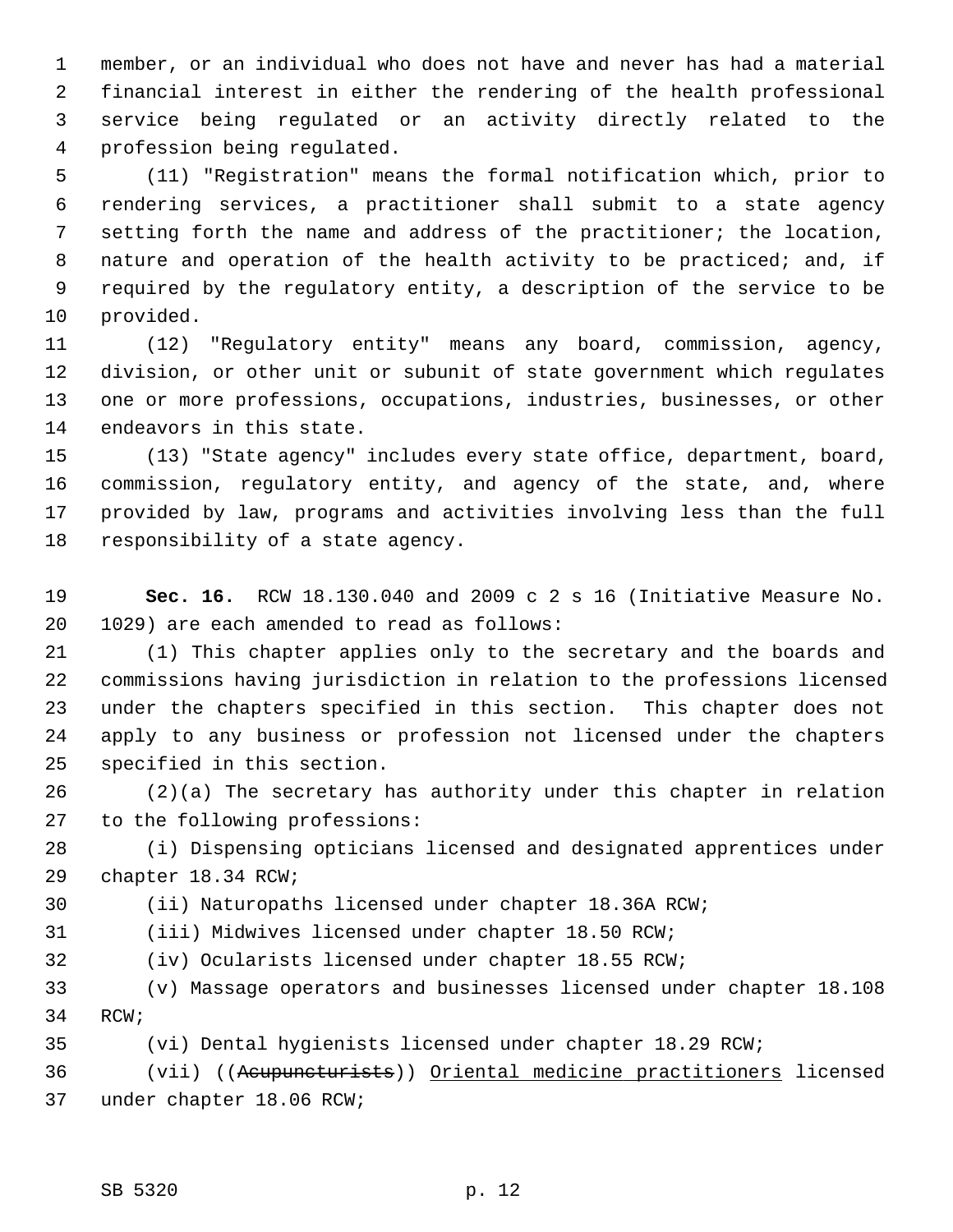1 member, or an individual who does not have and never has had a material 2 financial interest in either the rendering of the health professional 3 service being regulated or an activity directly related to the 4 profession being regulated.

 5 (11) "Registration" means the formal notification which, prior to 6 rendering services, a practitioner shall submit to a state agency 7 setting forth the name and address of the practitioner; the location, 8 nature and operation of the health activity to be practiced; and, if 9 required by the regulatory entity, a description of the service to be 10 provided.

11 (12) "Regulatory entity" means any board, commission, agency, 12 division, or other unit or subunit of state government which regulates 13 one or more professions, occupations, industries, businesses, or other 14 endeavors in this state.

15 (13) "State agency" includes every state office, department, board, 16 commission, regulatory entity, and agency of the state, and, where 17 provided by law, programs and activities involving less than the full 18 responsibility of a state agency.

19 **Sec. 16.** RCW 18.130.040 and 2009 c 2 s 16 (Initiative Measure No. 20 1029) are each amended to read as follows:

21 (1) This chapter applies only to the secretary and the boards and 22 commissions having jurisdiction in relation to the professions licensed 23 under the chapters specified in this section. This chapter does not 24 apply to any business or profession not licensed under the chapters 25 specified in this section.

26 (2)(a) The secretary has authority under this chapter in relation 27 to the following professions:

28 (i) Dispensing opticians licensed and designated apprentices under 29 chapter 18.34 RCW;

30 (ii) Naturopaths licensed under chapter 18.36A RCW;

31 (iii) Midwives licensed under chapter 18.50 RCW;

32 (iv) Ocularists licensed under chapter 18.55 RCW;

33 (v) Massage operators and businesses licensed under chapter 18.108 34 RCW;

35 (vi) Dental hygienists licensed under chapter 18.29 RCW;

36 (vii) ((Acupuncturists)) Oriental medicine practitioners licensed 37 under chapter 18.06 RCW;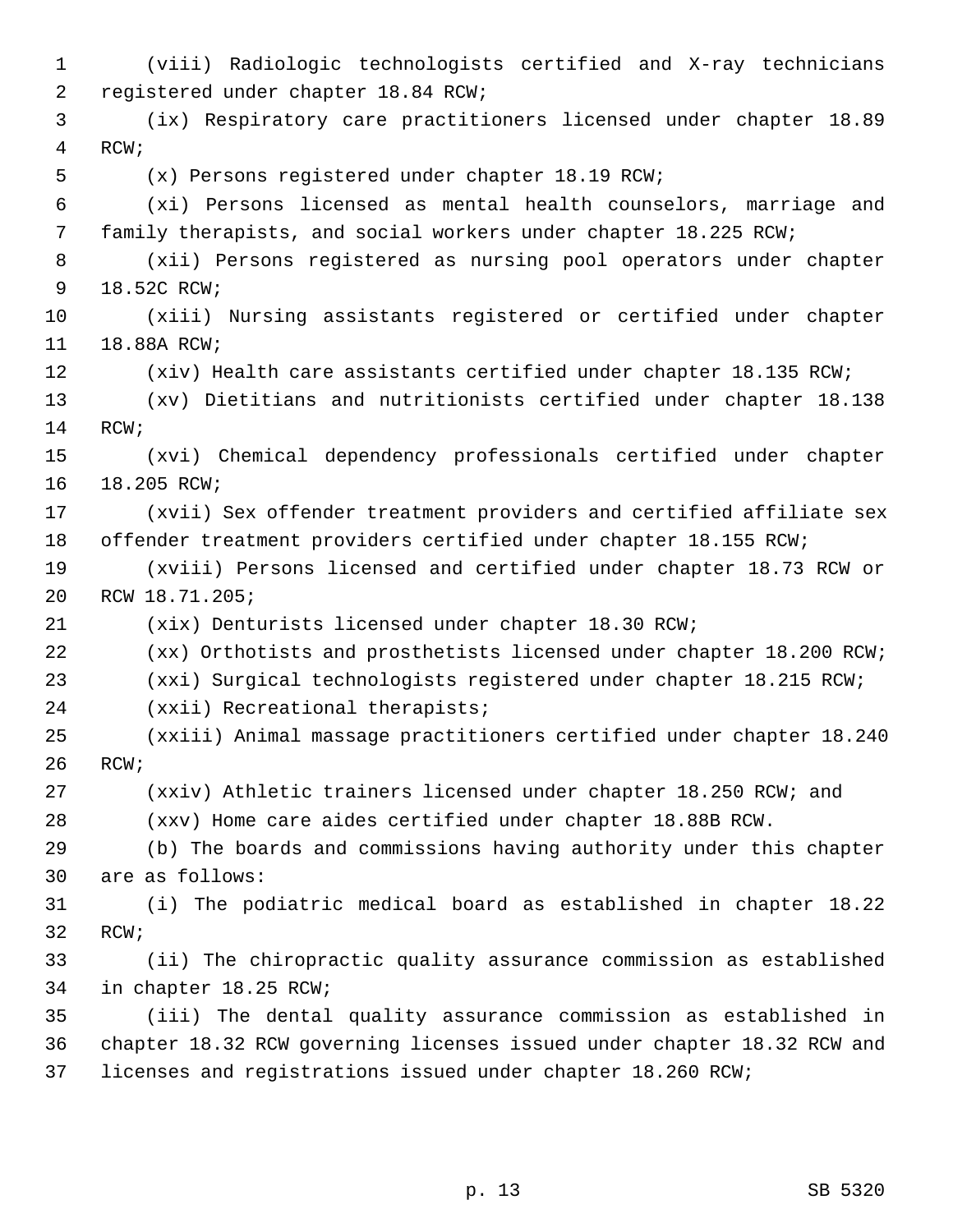1 (viii) Radiologic technologists certified and X-ray technicians 2 registered under chapter 18.84 RCW; 3 (ix) Respiratory care practitioners licensed under chapter 18.89 4 RCW; 5 (x) Persons registered under chapter 18.19 RCW; 6 (xi) Persons licensed as mental health counselors, marriage and 7 family therapists, and social workers under chapter 18.225 RCW; 8 (xii) Persons registered as nursing pool operators under chapter 9 18.52C RCW; 10 (xiii) Nursing assistants registered or certified under chapter 11 18.88A RCW; 12 (xiv) Health care assistants certified under chapter 18.135 RCW; 13 (xv) Dietitians and nutritionists certified under chapter 18.138 14 RCW; 15 (xvi) Chemical dependency professionals certified under chapter 16 18.205 RCW; 17 (xvii) Sex offender treatment providers and certified affiliate sex 18 offender treatment providers certified under chapter 18.155 RCW; 19 (xviii) Persons licensed and certified under chapter 18.73 RCW or 20 RCW 18.71.205; 21 (xix) Denturists licensed under chapter 18.30 RCW; 22 (xx) Orthotists and prosthetists licensed under chapter 18.200 RCW; 23 (xxi) Surgical technologists registered under chapter 18.215 RCW; 24 (xxii) Recreational therapists; 25 (xxiii) Animal massage practitioners certified under chapter 18.240 26 RCW; 27 (xxiv) Athletic trainers licensed under chapter 18.250 RCW; and 28 (xxv) Home care aides certified under chapter 18.88B RCW. 29 (b) The boards and commissions having authority under this chapter 30 are as follows: 31 (i) The podiatric medical board as established in chapter 18.22 32 RCW; 33 (ii) The chiropractic quality assurance commission as established 34 in chapter 18.25 RCW; 35 (iii) The dental quality assurance commission as established in 36 chapter 18.32 RCW governing licenses issued under chapter 18.32 RCW and 37 licenses and registrations issued under chapter 18.260 RCW;

p. 13 SB 5320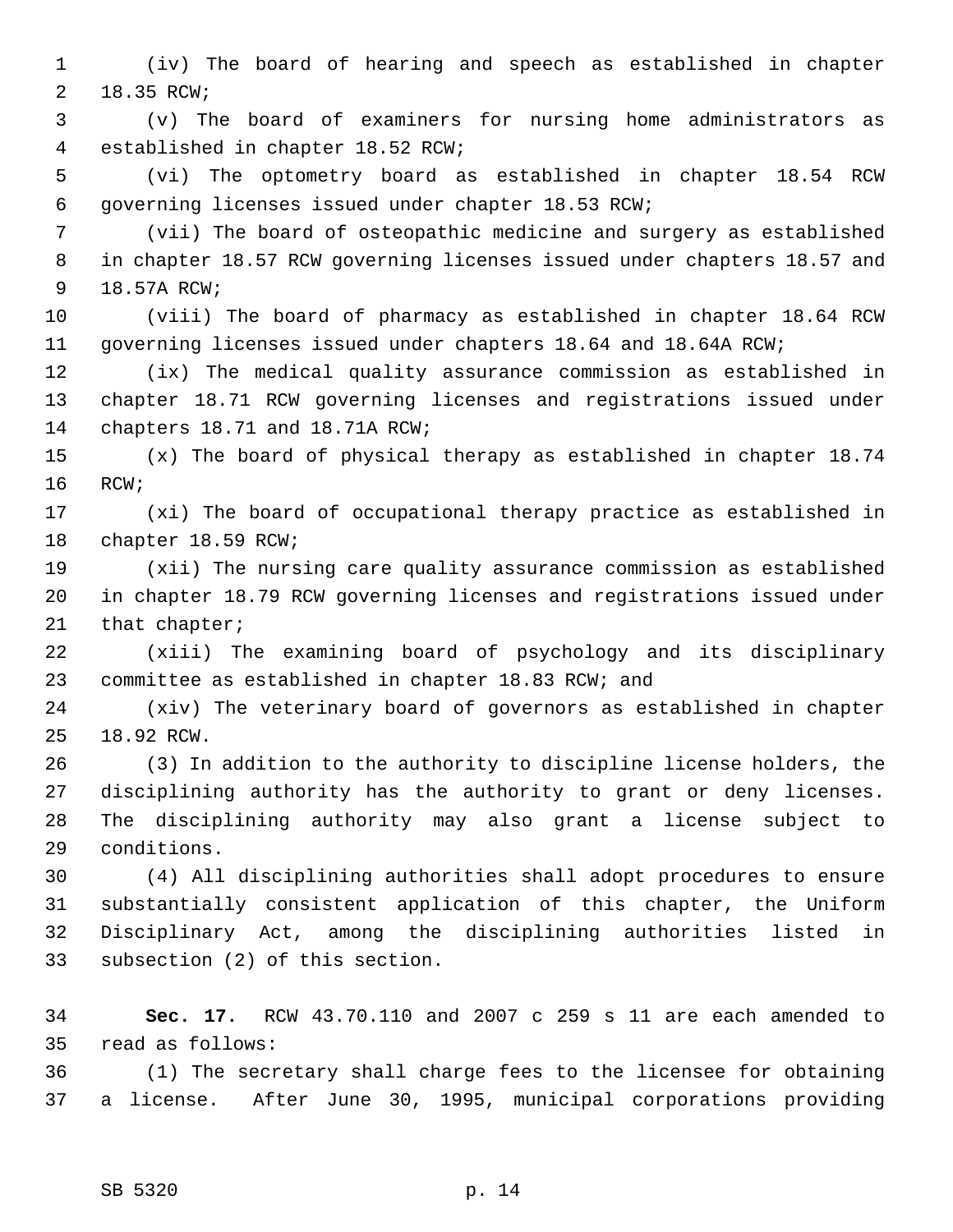1 (iv) The board of hearing and speech as established in chapter 2 18.35 RCW;

 3 (v) The board of examiners for nursing home administrators as 4 established in chapter 18.52 RCW;

 5 (vi) The optometry board as established in chapter 18.54 RCW 6 governing licenses issued under chapter 18.53 RCW;

 7 (vii) The board of osteopathic medicine and surgery as established 8 in chapter 18.57 RCW governing licenses issued under chapters 18.57 and 9 18.57A RCW;

10 (viii) The board of pharmacy as established in chapter 18.64 RCW 11 governing licenses issued under chapters 18.64 and 18.64A RCW;

12 (ix) The medical quality assurance commission as established in 13 chapter 18.71 RCW governing licenses and registrations issued under 14 chapters 18.71 and 18.71A RCW;

15 (x) The board of physical therapy as established in chapter 18.74 16 RCW;

17 (xi) The board of occupational therapy practice as established in 18 chapter 18.59 RCW;

19 (xii) The nursing care quality assurance commission as established 20 in chapter 18.79 RCW governing licenses and registrations issued under 21 that chapter;

22 (xiii) The examining board of psychology and its disciplinary 23 committee as established in chapter 18.83 RCW; and

24 (xiv) The veterinary board of governors as established in chapter 25 18.92 RCW.

26 (3) In addition to the authority to discipline license holders, the 27 disciplining authority has the authority to grant or deny licenses. 28 The disciplining authority may also grant a license subject to 29 conditions.

30 (4) All disciplining authorities shall adopt procedures to ensure 31 substantially consistent application of this chapter, the Uniform 32 Disciplinary Act, among the disciplining authorities listed in 33 subsection (2) of this section.

34 **Sec. 17.** RCW 43.70.110 and 2007 c 259 s 11 are each amended to 35 read as follows:

36 (1) The secretary shall charge fees to the licensee for obtaining 37 a license. After June 30, 1995, municipal corporations providing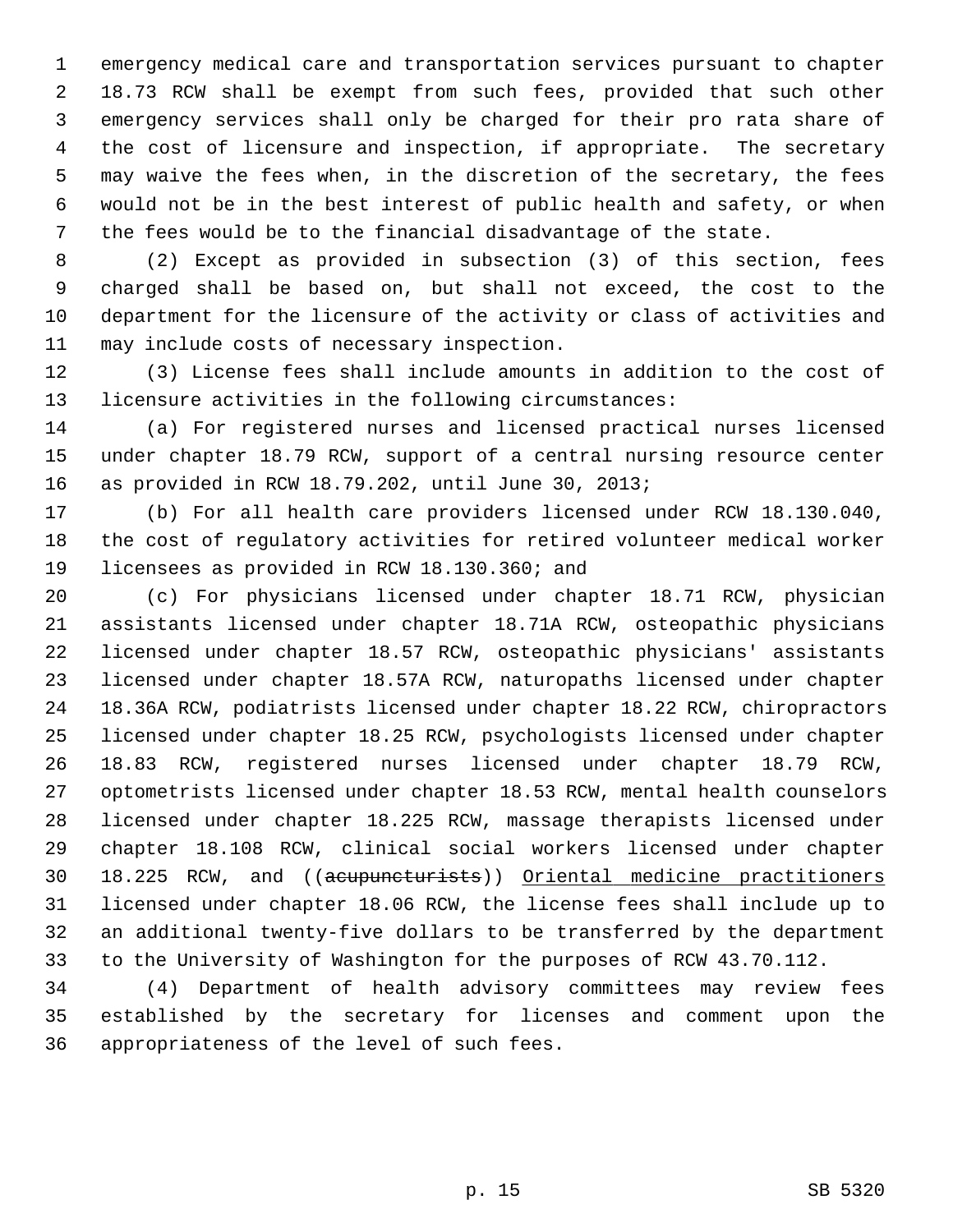1 emergency medical care and transportation services pursuant to chapter 2 18.73 RCW shall be exempt from such fees, provided that such other 3 emergency services shall only be charged for their pro rata share of 4 the cost of licensure and inspection, if appropriate. The secretary 5 may waive the fees when, in the discretion of the secretary, the fees 6 would not be in the best interest of public health and safety, or when 7 the fees would be to the financial disadvantage of the state.

 8 (2) Except as provided in subsection (3) of this section, fees 9 charged shall be based on, but shall not exceed, the cost to the 10 department for the licensure of the activity or class of activities and 11 may include costs of necessary inspection.

12 (3) License fees shall include amounts in addition to the cost of 13 licensure activities in the following circumstances:

14 (a) For registered nurses and licensed practical nurses licensed 15 under chapter 18.79 RCW, support of a central nursing resource center 16 as provided in RCW 18.79.202, until June 30, 2013;

17 (b) For all health care providers licensed under RCW 18.130.040, 18 the cost of regulatory activities for retired volunteer medical worker 19 licensees as provided in RCW 18.130.360; and

20 (c) For physicians licensed under chapter 18.71 RCW, physician 21 assistants licensed under chapter 18.71A RCW, osteopathic physicians 22 licensed under chapter 18.57 RCW, osteopathic physicians' assistants 23 licensed under chapter 18.57A RCW, naturopaths licensed under chapter 24 18.36A RCW, podiatrists licensed under chapter 18.22 RCW, chiropractors 25 licensed under chapter 18.25 RCW, psychologists licensed under chapter 26 18.83 RCW, registered nurses licensed under chapter 18.79 RCW, 27 optometrists licensed under chapter 18.53 RCW, mental health counselors 28 licensed under chapter 18.225 RCW, massage therapists licensed under 29 chapter 18.108 RCW, clinical social workers licensed under chapter 30 18.225 RCW, and ((acupuncturists)) Oriental medicine practitioners 31 licensed under chapter 18.06 RCW, the license fees shall include up to 32 an additional twenty-five dollars to be transferred by the department 33 to the University of Washington for the purposes of RCW 43.70.112.

34 (4) Department of health advisory committees may review fees 35 established by the secretary for licenses and comment upon the 36 appropriateness of the level of such fees.